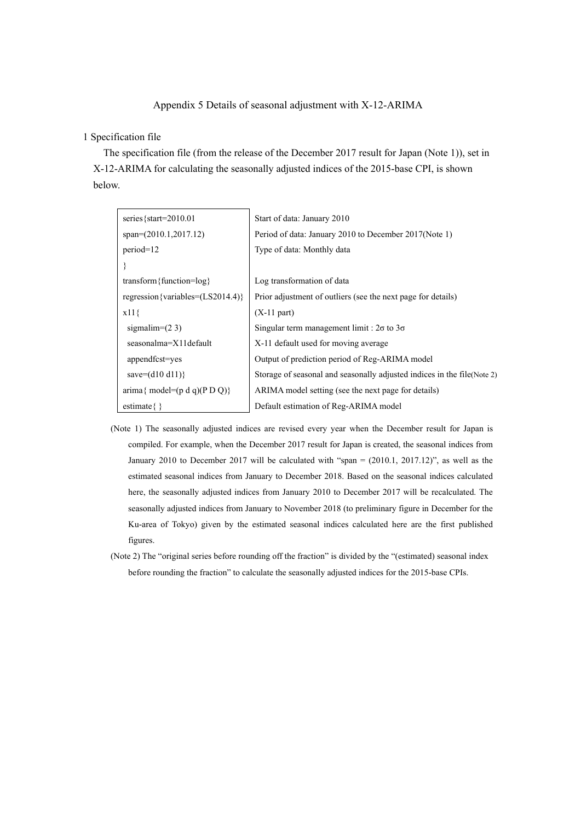## Appendix 5 Details of seasonal adjustment with X-12-ARIMA

## 1 Specification file

The specification file (from the release of the December 2017 result for Japan (Note 1)), set in X-12-ARIMA for calculating the seasonally adjusted indices of the 2015-base CPI, is shown below.

| series { $start=2010.01$                                          | Start of data: January 2010                                             |
|-------------------------------------------------------------------|-------------------------------------------------------------------------|
| $span=(2010.1,2017.12)$                                           | Period of data: January 2010 to December 2017(Note 1)                   |
| $period=12$                                                       | Type of data: Monthly data                                              |
|                                                                   |                                                                         |
| transform { function= $log$ }                                     | Log transformation of data                                              |
| regression {variables= $(LS2014.4)$ }                             | Prior adjustment of outliers (see the next page for details)            |
| $x11\}$                                                           | $(X-11$ part)                                                           |
| sigmalim= $(23)$                                                  | Singular term management limit : $2\sigma$ to $3\sigma$                 |
| seasonalma=X11default                                             | X-11 default used for moving average                                    |
| appendfcst=yes                                                    | Output of prediction period of Reg-ARIMA model                          |
| save= $(d10 d11)$ }                                               | Storage of seasonal and seasonally adjusted indices in the file(Note 2) |
| $\text{arima} \{ \text{ model} = (\text{p d q})(\text{p D Q}) \}$ | ARIMA model setting (see the next page for details)                     |
| estimate $\{\}$                                                   | Default estimation of Reg-ARIMA model                                   |

- (Note 1) The seasonally adjusted indices are revised every year when the December result for Japan is compiled. For example, when the December 2017 result for Japan is created, the seasonal indices from January 2010 to December 2017 will be calculated with "span = (2010.1, 2017.12)", as well as the estimated seasonal indices from January to December 2018. Based on the seasonal indices calculated here, the seasonally adjusted indices from January 2010 to December 2017 will be recalculated. The seasonally adjusted indices from January to November 2018 (to preliminary figure in December for the Ku-area of Tokyo) given by the estimated seasonal indices calculated here are the first published figures.
- (Note 2) The "original series before rounding off the fraction" is divided by the "(estimated) seasonal index before rounding the fraction" to calculate the seasonally adjusted indices for the 2015-base CPIs.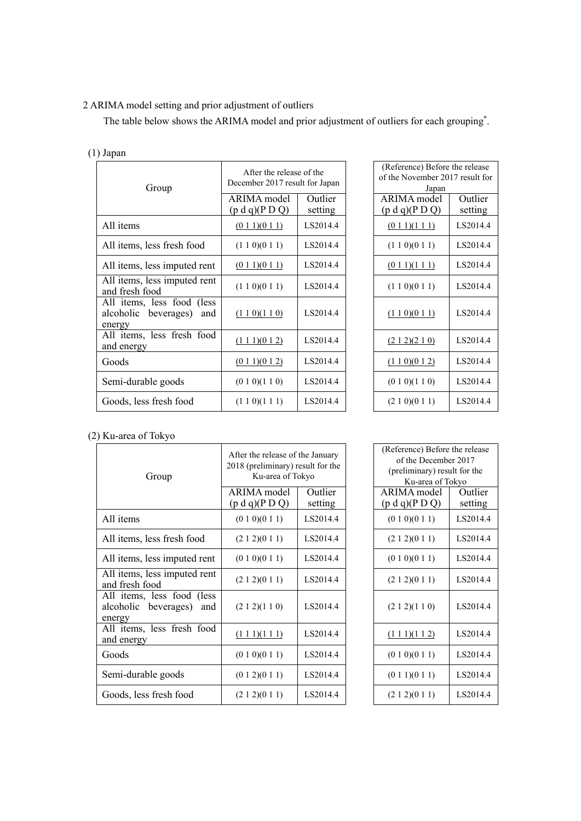## 2 ARIMA model setting and prior adjustment of outliers

The table below shows the ARIMA model and prior adjustment of outliers for each grouping\* .

| $(1)$ Japan                                                         |                                                            |                    |                                                                            |                    |
|---------------------------------------------------------------------|------------------------------------------------------------|--------------------|----------------------------------------------------------------------------|--------------------|
| Group                                                               | After the release of the<br>December 2017 result for Japan |                    | (Reference) Before the release<br>of the November 2017 result for<br>Japan |                    |
|                                                                     | <b>ARIMA</b> model<br>(p d q)(P D Q)                       | Outlier<br>setting | <b>ARIMA</b> model<br>(p d q)(P D Q)                                       | Outlier<br>setting |
| All items                                                           | (011)(011)                                                 | LS2014.4           | (011)(111)                                                                 | LS2014.4           |
| All items, less fresh food                                          | (1 1 0)(0 1 1)                                             | LS2014.4           | (1 1 0)(0 1 1)                                                             | LS2014.4           |
| All items, less imputed rent                                        | $(0\ 1\ 1)(0\ 1\ 1)$                                       | LS2014.4           | $(0\ 1\ 1)(1\ 1\ 1)$                                                       | LS2014.4           |
| All items, less imputed rent<br>and fresh food                      | (1 1 0)(0 1 1)                                             | LS2014.4           | (1 1 0)(0 1 1)                                                             | LS2014.4           |
| All items, less food (less<br>alcoholic beverages)<br>and<br>energy | (110)(110)                                                 | LS2014.4           | (110)(011)                                                                 | LS2014.4           |
| All items, less fresh food<br>and energy                            | $(1\ 1\ 1)(0\ 1\ 2)$                                       | LS2014.4           | (212)(210)                                                                 | LS2014.4           |
| Goods                                                               | (011)(012)                                                 | LS2014.4           | (110)(012)                                                                 | LS2014.4           |
| Semi-durable goods                                                  | (0 1 0)(1 1 0)                                             | LS2014.4           | (0 1 0)(1 1 0)                                                             | LS2014.4           |
| Goods, less fresh food                                              | (1 1 0)(1 1 1)                                             | LS2014.4           | (2 1 0)(0 1 1)                                                             | LS2014.4           |

| After the release of the<br>ecember 2017 result for Japan |  | (Reference) Before the release<br>of the November 2017 result for<br>Japan |                    |
|-----------------------------------------------------------|--|----------------------------------------------------------------------------|--------------------|
| Outlier<br>setting                                        |  | ARIMA model<br>(p d q)(P D Q)                                              | Outlier<br>setting |
| LS2014.4                                                  |  | (011)(111)                                                                 | LS2014.4           |
| LS2014.4                                                  |  | (1 1 0)(0 1 1)                                                             | LS2014.4           |
| LS2014.4                                                  |  | (0 1 1)(1 1 1)                                                             | LS2014.4           |
| LS2014.4                                                  |  | (1 1 0)(0 1 1)                                                             | LS2014.4           |
| LS2014.4                                                  |  | (110)(011)                                                                 | LS2014.4           |
| LS2014.4                                                  |  | (212)(210)                                                                 | LS2014.4           |
| LS2014.4                                                  |  | (110)(012)                                                                 | LS2014.4           |
| LS2014.4                                                  |  | (0 1 0)(1 1 0)                                                             | LS2014.4           |
| LS2014.4                                                  |  | (210)(011)                                                                 | LS2014.4           |
|                                                           |  |                                                                            |                    |

## (2) Ku-area of Tokyo

| Group                                                               | After the release of the January<br>2018 (preliminary) result for the<br>Ku-area of Tokyo |          | (Reference) Before the release<br>of the December 2017<br>(preliminary) result for the<br>Ku-area of Tokyo |          |
|---------------------------------------------------------------------|-------------------------------------------------------------------------------------------|----------|------------------------------------------------------------------------------------------------------------|----------|
|                                                                     | ARIMA model                                                                               | Outlier  | ARIMA model                                                                                                | Outlier  |
|                                                                     | (p d q)(P D Q)                                                                            | setting  | (p d q)(P D Q)                                                                                             | setting  |
| All items                                                           | (0 1 0)(0 1 1)                                                                            | LS2014.4 | (0 1 0)(0 1 1)                                                                                             | LS2014.4 |
| All items, less fresh food                                          | (2 1 2)(0 1 1)                                                                            | LS2014.4 | (2 1 2)(0 1 1)                                                                                             | LS2014.4 |
| All items, less imputed rent                                        | (0 1 0)(0 1 1)                                                                            | LS2014.4 | (0 1 0)(0 1 1)                                                                                             | LS2014.4 |
| All items, less imputed rent<br>and fresh food                      | (2 1 2)(0 1 1)                                                                            | LS2014.4 | (2 1 2)(0 1 1)                                                                                             | LS2014.4 |
| All items, less food (less<br>alcoholic beverages)<br>and<br>energy | (2 1 2)(1 1 0)                                                                            | LS2014.4 | (2 1 2)(1 1 0)                                                                                             | LS2014.4 |
| All items, less fresh food<br>and energy                            | $(1\ 1\ 1)(1\ 1\ 1)$                                                                      | LS2014.4 | (111)(112)                                                                                                 | LS2014.4 |
| Goods                                                               | (0 1 0)(0 1 1)                                                                            | LS2014.4 | (0 1 0)(0 1 1)                                                                                             | LS2014.4 |
| Semi-durable goods                                                  | (0 1 2)(0 1 1)                                                                            | LS2014.4 | (0 1 1)(0 1 1)                                                                                             | LS2014.4 |
| Goods, less fresh food                                              | (2 1 2)(0 1 1)                                                                            | LS2014.4 | (212)(011)                                                                                                 | LS2014.4 |

| fter the release of the January<br>18 (preliminary) result for the<br>Ku-area of Tokyo |          | (Reference) Before the release<br>of the December 2017<br>(preliminary) result for the |          |  |  |
|----------------------------------------------------------------------------------------|----------|----------------------------------------------------------------------------------------|----------|--|--|
|                                                                                        |          | Ku-area of Tokyo                                                                       |          |  |  |
| RIMA model                                                                             | Outlier  | ARIMA model                                                                            | Outlier  |  |  |
| o d q)(P D Q)                                                                          | setting  | (p d q)(P D Q)                                                                         | setting  |  |  |
| (0 1 0)(0 1 1)                                                                         | LS2014.4 | (0 1 0)(0 1 1)                                                                         | LS2014.4 |  |  |
| (2 1 2)(0 1 1)                                                                         | LS2014.4 | (2 1 2)(0 1 1)                                                                         | LS2014.4 |  |  |
| (0 1 0)(0 1 1)                                                                         | LS2014.4 | (0 1 0)(0 1 1)                                                                         | LS2014.4 |  |  |
| (2 1 2)(0 1 1)                                                                         | LS2014.4 | (212)(011)                                                                             | LS2014.4 |  |  |
| (2 1 2)(1 1 0)                                                                         | LS2014.4 | (2 1 2)(1 1 0)                                                                         | LS2014.4 |  |  |
| $(1\ 1\ 1)(1\ 1\ 1)$                                                                   | LS2014.4 | $(1\ 1\ 1)(1\ 1\ 2)$                                                                   | LS2014.4 |  |  |
| (0 1 0)(0 1 1)                                                                         | LS2014.4 | (0 1 0)(0 1 1)                                                                         | LS2014.4 |  |  |
| (0 1 2)(0 1 1)                                                                         | LS2014.4 | (0 1 1)(0 1 1)                                                                         | LS2014.4 |  |  |
| (2 1 2)(0 1 1)                                                                         | LS2014.4 | (2 1 2)(0 1 1)                                                                         | LS2014.4 |  |  |